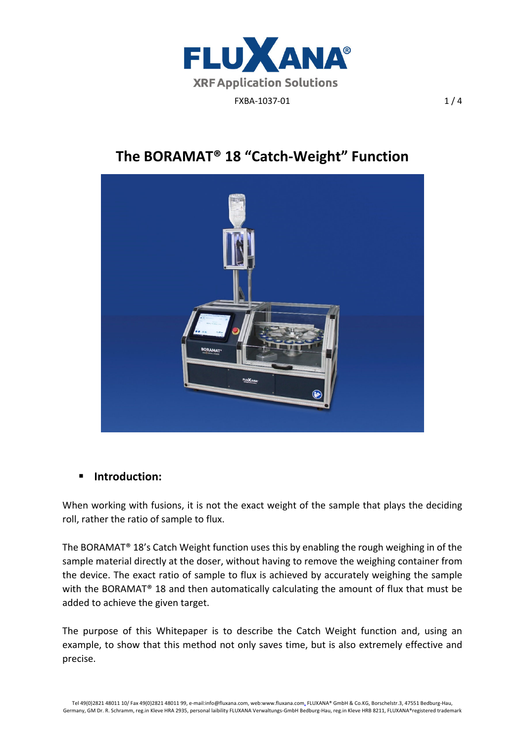

## **The BORAMAT® 18 "Catch‐Weight" Function**



## **F** Introduction:

When working with fusions, it is not the exact weight of the sample that plays the deciding roll, rather the ratio of sample to flux.

The BORAMAT® 18's Catch Weight function uses this by enabling the rough weighing in of the sample material directly at the doser, without having to remove the weighing container from the device. The exact ratio of sample to flux is achieved by accurately weighing the sample with the BORAMAT<sup>®</sup> 18 and then automatically calculating the amount of flux that must be added to achieve the given target.

The purpose of this Whitepaper is to describe the Catch Weight function and, using an example, to show that this method not only saves time, but is also extremely effective and precise.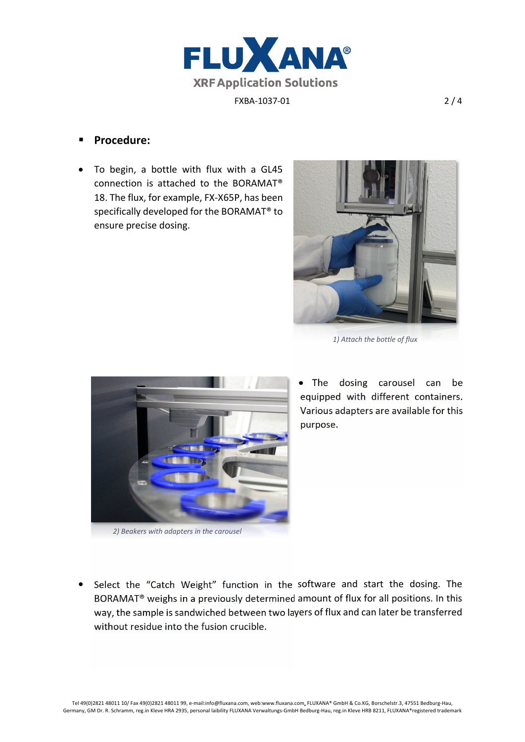

## **Procedure:**

• To begin, a bottle with flux with a GL45 connection is attached to the BORAMAT® 18. The flux, for example, FX‐X65P, has been specifically developed for the BORAMAT® to ensure precise dosing.



*1) Attach the bottle of flux* 



*2) Beakers with adapters in the carousel* 

• The dosing carousel can be equipped with different containers. Various adapters are available for this purpose.

• Select the "Catch Weight" function in the software and start the dosing. The BORAMAT® weighs in a previously determined amount of flux for all positions. In this way, the sample is sandwiched between two layers of flux and can later be transferred without residue into the fusion crucible.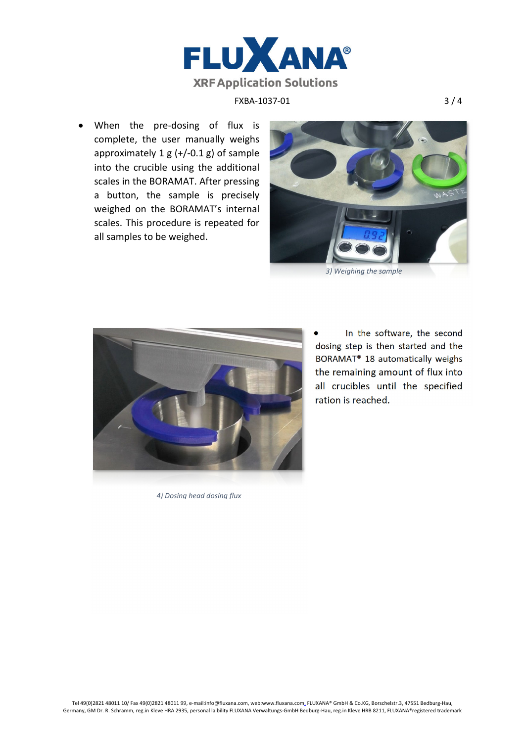

● When the pre-dosing of flux is complete, the user manually weighs approximately  $1 g (+/-0.1 g)$  of sample into the crucible using the additional scales in the BORAMAT. After pressing a button, the sample is precisely weighed on the BORAMAT's internal scales. This procedure is repeated for all samples to be weighed.





*4) Dosing head dosing flux*

 In the software, the second dosing step is then started and the BORAMAT® 18 automatically weighs the remaining amount of flux into all crucibles until the specified ration is reached.